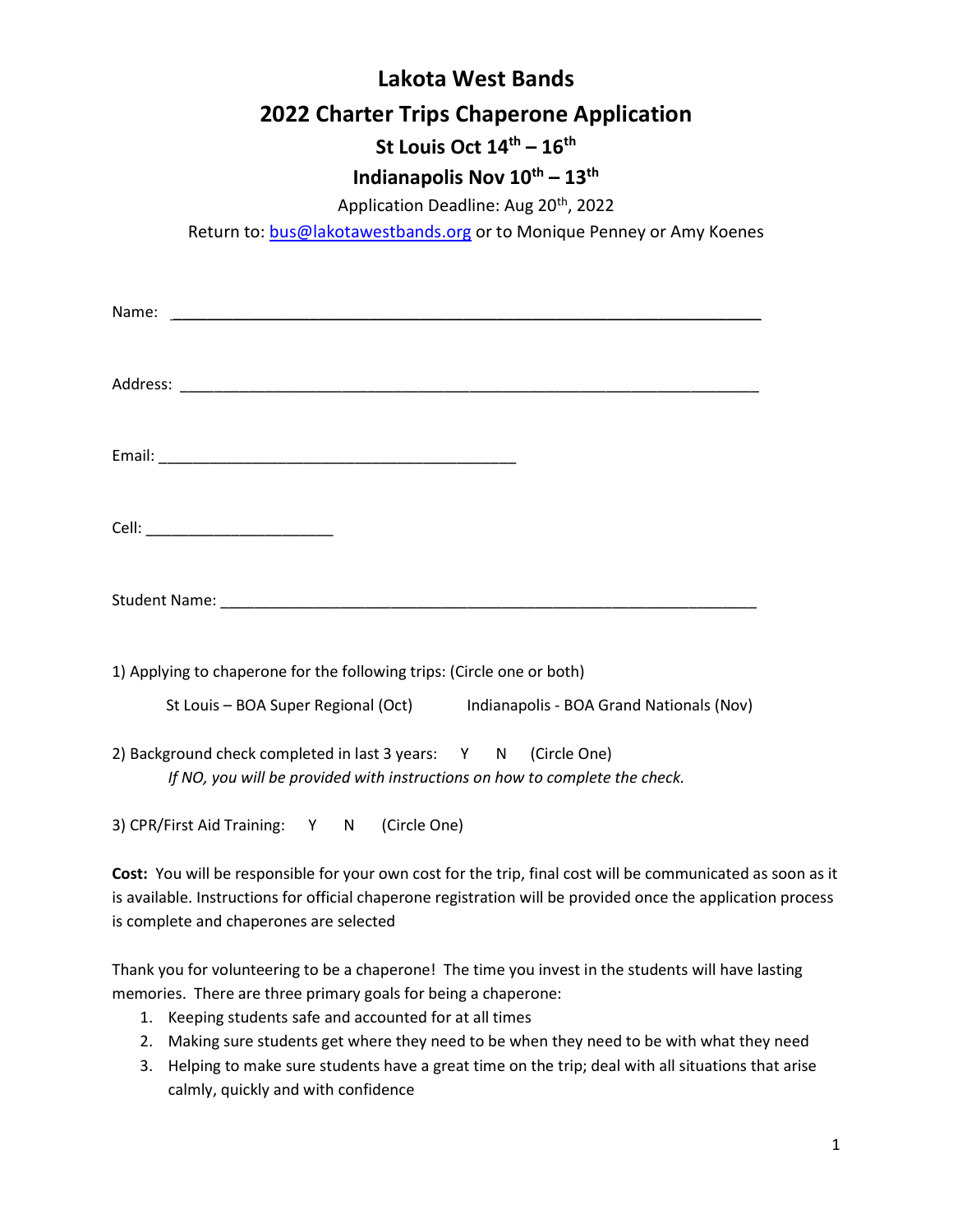# Lakota West Bands 2022 Charter Trips Chaperone Application

## St Louis Oct  $14^{\text{th}} - 16^{\text{th}}$

### Indianapolis Nov  $10^{th} - 13^{th}$

Application Deadline: Aug 20<sup>th</sup>, 2022

Return to: bus@lakotawestbands.org or to Monique Penney or Amy Koenes

| 1) Applying to chaperone for the following trips: (Circle one or both)                                                                                                                                                         |
|--------------------------------------------------------------------------------------------------------------------------------------------------------------------------------------------------------------------------------|
| St Louis - BOA Super Regional (Oct) Indianapolis - BOA Grand Nationals (Nov)<br>2) Background check completed in last 3 years: Y N (Circle One)<br>If NO, you will be provided with instructions on how to complete the check. |
| 3) CPR/First Aid Training: Y N (Circle One)                                                                                                                                                                                    |

Cost: You will be responsible for your own cost for the trip, final cost will be communicated as soon as it is available. Instructions for official chaperone registration will be provided once the application process is complete and chaperones are selected

Thank you for volunteering to be a chaperone! The time you invest in the students will have lasting memories. There are three primary goals for being a chaperone:

- 1. Keeping students safe and accounted for at all times
- 2. Making sure students get where they need to be when they need to be with what they need
- 3. Helping to make sure students have a great time on the trip; deal with all situations that arise calmly, quickly and with confidence